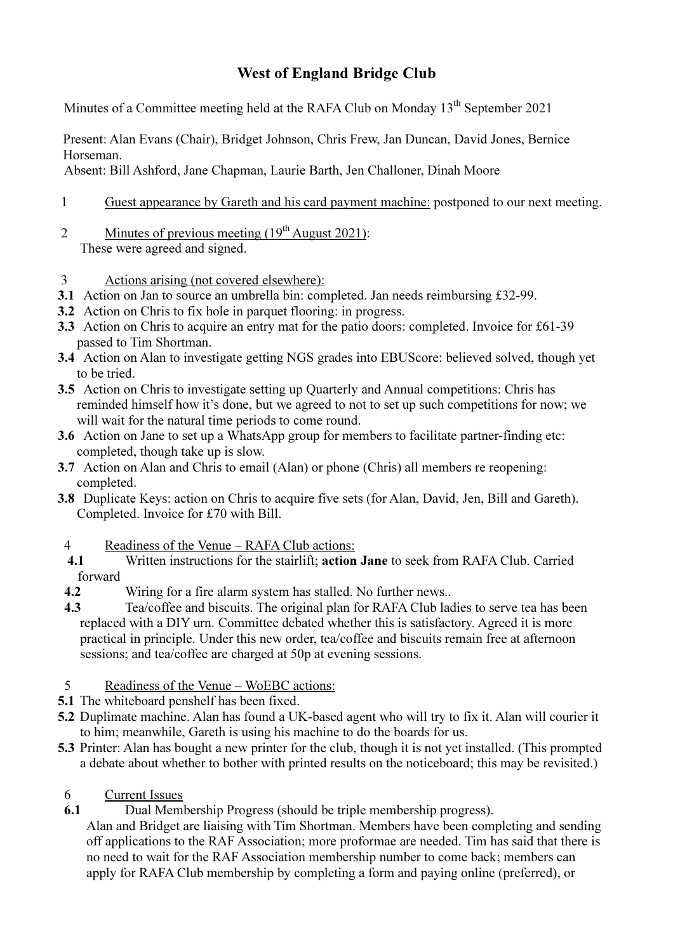## West of England Bridge Club

Minutes of a Committee meeting held at the RAFA Club on Monday 13<sup>th</sup> September 2021

Present: Alan Evans (Chair), Bridget Johnson, Chris Frew, Jan Duncan, David Jones, Bernice Horseman.

Absent: Bill Ashford, Jane Chapman, Laurie Barth, Jen Challoner, Dinah Moore

- 1 Guest appearance by Gareth and his card payment machine: postponed to our next meeting.
- 2 Minutes of previous meeting  $(19<sup>th</sup>$  August 2021): These were agreed and signed.
- 3 Actions arising (not covered elsewhere):
- 3.1 Action on Jan to source an umbrella bin: completed. Jan needs reimbursing £32-99.
- 3.2 Action on Chris to fix hole in parquet flooring: in progress.
- 3.3 Action on Chris to acquire an entry mat for the patio doors: completed. Invoice for £61-39 passed to Tim Shortman.
- 3.4 Action on Alan to investigate getting NGS grades into EBUScore: believed solved, though yet to be tried.
- 3.5 Action on Chris to investigate setting up Quarterly and Annual competitions: Chris has reminded himself how it's done, but we agreed to not to set up such competitions for now; we will wait for the natural time periods to come round.
- 3.6 Action on Jane to set up a WhatsApp group for members to facilitate partner-finding etc: completed, though take up is slow.
- 3.7 Action on Alan and Chris to email (Alan) or phone (Chris) all members re reopening: completed.
- 3.8 Duplicate Keys: action on Chris to acquire five sets (for Alan, David, Jen, Bill and Gareth). Completed. Invoice for £70 with Bill.

## 4 Readiness of the Venue – RAFA Club actions:

- 4.1 Written instructions for the stairlift; **action Jane** to seek from RAFA Club. Carried forward
- 4.2 Wiring for a fire alarm system has stalled. No further news..
- 4.3 Tea/coffee and biscuits. The original plan for RAFA Club ladies to serve tea has been replaced with a DIY urn. Committee debated whether this is satisfactory. Agreed it is more practical in principle. Under this new order, tea/coffee and biscuits remain free at afternoon sessions; and tea/coffee are charged at 50p at evening sessions.
- 5 Readiness of the Venue WoEBC actions:
- 5.1 The whiteboard penshelf has been fixed.
- 5.2 Duplimate machine. Alan has found a UK-based agent who will try to fix it. Alan will courier it to him; meanwhile, Gareth is using his machine to do the boards for us.
- 5.3 Printer: Alan has bought a new printer for the club, though it is not yet installed. (This prompted a debate about whether to bother with printed results on the noticeboard; this may be revisited.)
- 6 Current Issues
- 6.1 Dual Membership Progress (should be triple membership progress).

Alan and Bridget are liaising with Tim Shortman. Members have been completing and sending off applications to the RAF Association; more proformae are needed. Tim has said that there is no need to wait for the RAF Association membership number to come back; members can apply for RAFA Club membership by completing a form and paying online (preferred), or